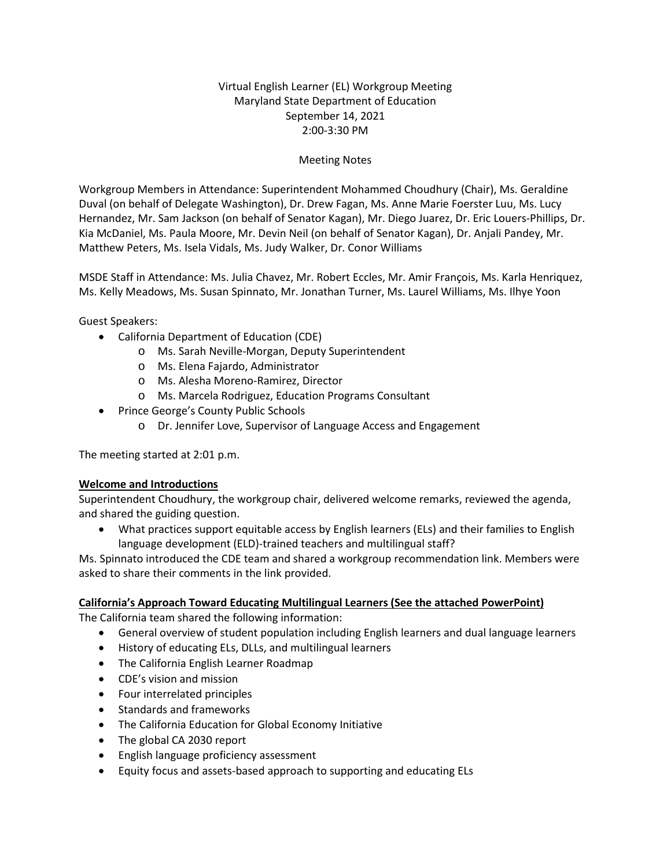# Virtual English Learner (EL) Workgroup Meeting Maryland State Department of Education September 14, 2021 2:00-3:30 PM

## Meeting Notes

Workgroup Members in Attendance: Superintendent Mohammed Choudhury (Chair), Ms. Geraldine Duval (on behalf of Delegate Washington), Dr. Drew Fagan, Ms. Anne Marie Foerster Luu, Ms. Lucy Hernandez, Mr. Sam Jackson (on behalf of Senator Kagan), Mr. Diego Juarez, Dr. Eric Louers-Phillips, Dr. Kia McDaniel, Ms. Paula Moore, Mr. Devin Neil (on behalf of Senator Kagan), Dr. Anjali Pandey, Mr. Matthew Peters, Ms. Isela Vidals, Ms. Judy Walker, Dr. Conor Williams

MSDE Staff in Attendance: Ms. Julia Chavez, Mr. Robert Eccles, Mr. Amir François, Ms. Karla Henriquez, Ms. Kelly Meadows, Ms. Susan Spinnato, Mr. Jonathan Turner, Ms. Laurel Williams, Ms. Ilhye Yoon

Guest Speakers:

- California Department of Education (CDE)
	- o Ms. Sarah Neville-Morgan, Deputy Superintendent
	- o Ms. Elena Fajardo, Administrator
	- o Ms. Alesha Moreno-Ramirez, Director
	- o Ms. Marcela Rodriguez, Education Programs Consultant
- Prince George's County Public Schools
	- o Dr. Jennifer Love, Supervisor of Language Access and Engagement

The meeting started at 2:01 p.m.

### **Welcome and Introductions**

Superintendent Choudhury, the workgroup chair, delivered welcome remarks, reviewed the agenda, and shared the guiding question.

• What practices support equitable access by English learners (ELs) and their families to English language development (ELD)-trained teachers and multilingual staff?

Ms. Spinnato introduced the CDE team and shared a workgroup recommendation link. Members were asked to share their comments in the link provided.

### **California's Approach Toward Educating Multilingual Learners (See the attached PowerPoint)**

The California team shared the following information:

- General overview of student population including English learners and dual language learners
- History of educating ELs, DLLs, and multilingual learners
- The California English Learner Roadmap
- CDE's vision and mission
- Four interrelated principles
- Standards and frameworks
- The California Education for Global Economy Initiative
- The global CA 2030 report
- English language proficiency assessment
- Equity focus and assets-based approach to supporting and educating ELs